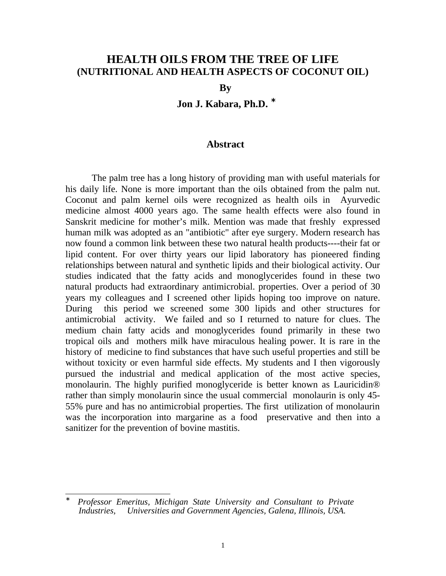# **HEALTH OILS FROM THE TREE OF LIFE (NUTRITIONAL AND HEALTH ASPECTS OF COCONUT OIL)**

**By**

**Jon J. Kabara, Ph.D.** <sup>∗</sup>

### **Abstract**

The palm tree has a long history of providing man with useful materials for his daily life. None is more important than the oils obtained from the palm nut. Coconut and palm kernel oils were recognized as health oils in Ayurvedic medicine almost 4000 years ago. The same health effects were also found in Sanskrit medicine for mother's milk. Mention was made that freshly expressed human milk was adopted as an "antibiotic" after eye surgery. Modern research has now found a common link between these two natural health products----their fat or lipid content. For over thirty years our lipid laboratory has pioneered finding relationships between natural and synthetic lipids and their biological activity. Our studies indicated that the fatty acids and monoglycerides found in these two natural products had extraordinary antimicrobial. properties. Over a period of 30 years my colleagues and I screened other lipids hoping too improve on nature. During this period we screened some 300 lipids and other structures for antimicrobial activity. We failed and so I returned to nature for clues. The medium chain fatty acids and monoglycerides found primarily in these two tropical oils and mothers milk have miraculous healing power. It is rare in the history of medicine to find substances that have such useful properties and still be without toxicity or even harmful side effects. My students and I then vigorously pursued the industrial and medical application of the most active species, monolaurin. The highly purified monoglyceride is better known as Lauricidin® rather than simply monolaurin since the usual commercial monolaurin is only 45- 55% pure and has no antimicrobial properties. The first utilization of monolaurin was the incorporation into margarine as a food preservative and then into a sanitizer for the prevention of bovine mastitis.

<sup>-</sup>∗ *Professor Emeritus, Michigan State University and Consultant to Private Industries, Universities and Government Agencies, Galena, Illinois, USA.*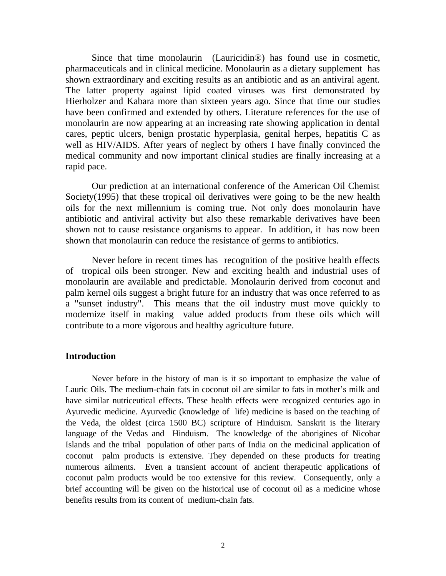Since that time monolaurin (Lauricidin®) has found use in cosmetic, pharmaceuticals and in clinical medicine. Monolaurin as a dietary supplement has shown extraordinary and exciting results as an antibiotic and as an antiviral agent. The latter property against lipid coated viruses was first demonstrated by Hierholzer and Kabara more than sixteen years ago. Since that time our studies have been confirmed and extended by others. Literature references for the use of monolaurin are now appearing at an increasing rate showing application in dental cares, peptic ulcers, benign prostatic hyperplasia, genital herpes, hepatitis C as well as HIV/AIDS. After years of neglect by others I have finally convinced the medical community and now important clinical studies are finally increasing at a rapid pace.

Our prediction at an international conference of the American Oil Chemist Society(1995) that these tropical oil derivatives were going to be the new health oils for the next millennium is coming true. Not only does monolaurin have antibiotic and antiviral activity but also these remarkable derivatives have been shown not to cause resistance organisms to appear. In addition, it has now been shown that monolaurin can reduce the resistance of germs to antibiotics.

Never before in recent times has recognition of the positive health effects of tropical oils been stronger. New and exciting health and industrial uses of monolaurin are available and predictable. Monolaurin derived from coconut and palm kernel oils suggest a bright future for an industry that was once referred to as a "sunset industry". This means that the oil industry must move quickly to modernize itself in making value added products from these oils which will contribute to a more vigorous and healthy agriculture future.

### **Introduction**

Never before in the history of man is it so important to emphasize the value of Lauric Oils. The medium-chain fats in coconut oil are similar to fats in mother's milk and have similar nutriceutical effects. These health effects were recognized centuries ago in Ayurvedic medicine. Ayurvedic (knowledge of life) medicine is based on the teaching of the Veda, the oldest (circa 1500 BC) scripture of Hinduism. Sanskrit is the literary language of the Vedas and Hinduism. The knowledge of the aborigines of Nicobar Islands and the tribal population of other parts of India on the medicinal application of coconut palm products is extensive. They depended on these products for treating numerous ailments. Even a transient account of ancient therapeutic applications of coconut palm products would be too extensive for this review. Consequently, only a brief accounting will be given on the historical use of coconut oil as a medicine whose benefits results from its content of medium-chain fats.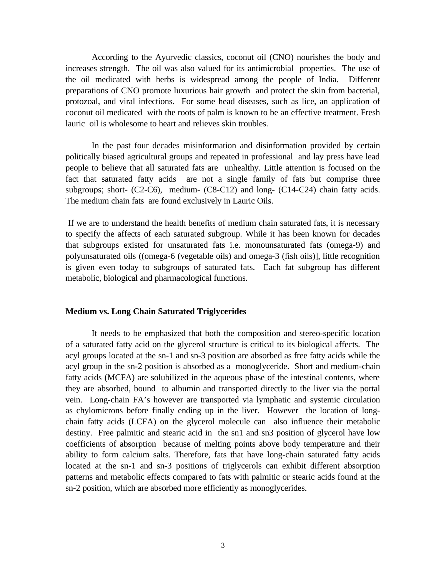According to the Ayurvedic classics, coconut oil (CNO) nourishes the body and increases strength. The oil was also valued for its antimicrobial properties. The use of the oil medicated with herbs is widespread among the people of India. Different preparations of CNO promote luxurious hair growth and protect the skin from bacterial, protozoal, and viral infections. For some head diseases, such as lice, an application of coconut oil medicated with the roots of palm is known to be an effective treatment. Fresh lauric oil is wholesome to heart and relieves skin troubles.

In the past four decades misinformation and disinformation provided by certain politically biased agricultural groups and repeated in professional and lay press have lead people to believe that all saturated fats are unhealthy. Little attention is focused on the fact that saturated fatty acids are not a single family of fats but comprise three subgroups; short-  $(C2-C6)$ , medium-  $(C8-C12)$  and long-  $(C14-C24)$  chain fatty acids. The medium chain fats are found exclusively in Lauric Oils.

 If we are to understand the health benefits of medium chain saturated fats, it is necessary to specify the affects of each saturated subgroup. While it has been known for decades that subgroups existed for unsaturated fats i.e. monounsaturated fats (omega-9) and polyunsaturated oils ((omega-6 (vegetable oils) and omega-3 (fish oils)], little recognition is given even today to subgroups of saturated fats. Each fat subgroup has different metabolic, biological and pharmacological functions.

#### **Medium vs. Long Chain Saturated Triglycerides**

It needs to be emphasized that both the composition and stereo-specific location of a saturated fatty acid on the glycerol structure is critical to its biological affects. The acyl groups located at the sn-1 and sn-3 position are absorbed as free fatty acids while the acyl group in the sn-2 position is absorbed as a monoglyceride. Short and medium-chain fatty acids (MCFA) are solubilized in the aqueous phase of the intestinal contents, where they are absorbed, bound to albumin and transported directly to the liver via the portal vein. Long-chain FA's however are transported via lymphatic and systemic circulation as chylomicrons before finally ending up in the liver. However the location of longchain fatty acids (LCFA) on the glycerol molecule can also influence their metabolic destiny. Free palmitic and stearic acid in the sn1 and sn3 position of glycerol have low coefficients of absorption because of melting points above body temperature and their ability to form calcium salts. Therefore, fats that have long-chain saturated fatty acids located at the sn-1 and sn-3 positions of triglycerols can exhibit different absorption patterns and metabolic effects compared to fats with palmitic or stearic acids found at the sn-2 position, which are absorbed more efficiently as monoglycerides.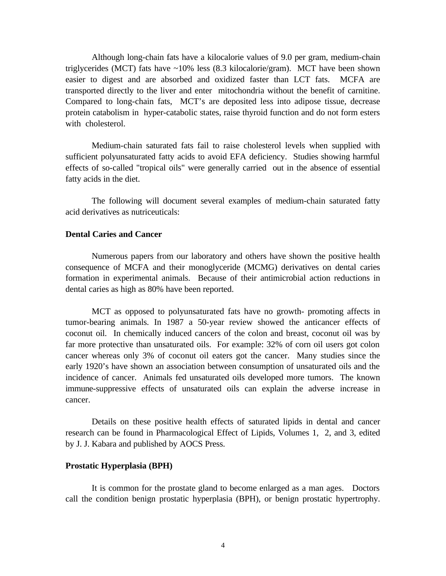Although long-chain fats have a kilocalorie values of 9.0 per gram, medium-chain triglycerides (MCT) fats have ~10% less (8.3 kilocalorie/gram). MCT have been shown easier to digest and are absorbed and oxidized faster than LCT fats. MCFA are transported directly to the liver and enter mitochondria without the benefit of carnitine. Compared to long-chain fats, MCT's are deposited less into adipose tissue, decrease protein catabolism in hyper-catabolic states, raise thyroid function and do not form esters with cholesterol.

Medium-chain saturated fats fail to raise cholesterol levels when supplied with sufficient polyunsaturated fatty acids to avoid EFA deficiency. Studies showing harmful effects of so-called "tropical oils" were generally carried out in the absence of essential fatty acids in the diet.

The following will document several examples of medium-chain saturated fatty acid derivatives as nutriceuticals:

#### **Dental Caries and Cancer**

Numerous papers from our laboratory and others have shown the positive health consequence of MCFA and their monoglyceride (MCMG) derivatives on dental caries formation in experimental animals. Because of their antimicrobial action reductions in dental caries as high as 80% have been reported.

MCT as opposed to polyunsaturated fats have no growth- promoting affects in tumor-bearing animals. In 1987 a 50-year review showed the anticancer effects of coconut oil. In chemically induced cancers of the colon and breast, coconut oil was by far more protective than unsaturated oils. For example: 32% of corn oil users got colon cancer whereas only 3% of coconut oil eaters got the cancer. Many studies since the early 1920's have shown an association between consumption of unsaturated oils and the incidence of cancer. Animals fed unsaturated oils developed more tumors. The known immune-suppressive effects of unsaturated oils can explain the adverse increase in cancer.

Details on these positive health effects of saturated lipids in dental and cancer research can be found in Pharmacological Effect of Lipids, Volumes 1, 2, and 3, edited by J. J. Kabara and published by AOCS Press.

#### **Prostatic Hyperplasia (BPH)**

It is common for the prostate gland to become enlarged as a man ages. Doctors call the condition benign prostatic hyperplasia (BPH), or benign prostatic hypertrophy.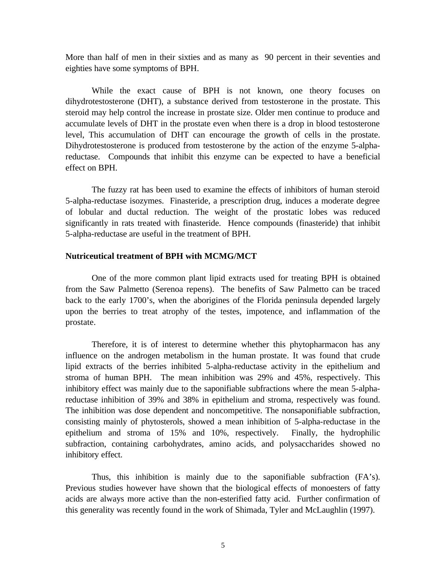More than half of men in their sixties and as many as 90 percent in their seventies and eighties have some symptoms of BPH.

While the exact cause of BPH is not known, one theory focuses on dihydrotestosterone (DHT), a substance derived from testosterone in the prostate. This steroid may help control the increase in prostate size. Older men continue to produce and accumulate levels of DHT in the prostate even when there is a drop in blood testosterone level, This accumulation of DHT can encourage the growth of cells in the prostate. Dihydrotestosterone is produced from testosterone by the action of the enzyme 5-alphareductase. Compounds that inhibit this enzyme can be expected to have a beneficial effect on BPH.

The fuzzy rat has been used to examine the effects of inhibitors of human steroid 5-alpha-reductase isozymes. Finasteride, a prescription drug, induces a moderate degree of lobular and ductal reduction. The weight of the prostatic lobes was reduced significantly in rats treated with finasteride. Hence compounds (finasteride) that inhibit 5-alpha-reductase are useful in the treatment of BPH.

#### **Nutriceutical treatment of BPH with MCMG/MCT**

One of the more common plant lipid extracts used for treating BPH is obtained from the Saw Palmetto (Serenoa repens). The benefits of Saw Palmetto can be traced back to the early 1700's, when the aborigines of the Florida peninsula depended largely upon the berries to treat atrophy of the testes, impotence, and inflammation of the prostate.

Therefore, it is of interest to determine whether this phytopharmacon has any influence on the androgen metabolism in the human prostate. It was found that crude lipid extracts of the berries inhibited 5-alpha-reductase activity in the epithelium and stroma of human BPH. The mean inhibition was 29% and 45%, respectively. This inhibitory effect was mainly due to the saponifiable subfractions where the mean 5-alphareductase inhibition of 39% and 38% in epithelium and stroma, respectively was found. The inhibition was dose dependent and noncompetitive. The nonsaponifiable subfraction, consisting mainly of phytosterols, showed a mean inhibition of 5-alpha-reductase in the epithelium and stroma of 15% and 10%, respectively. Finally, the hydrophilic subfraction, containing carbohydrates, amino acids, and polysaccharides showed no inhibitory effect.

Thus, this inhibition is mainly due to the saponifiable subfraction (FA's). Previous studies however have shown that the biological effects of monoesters of fatty acids are always more active than the non-esterified fatty acid. Further confirmation of this generality was recently found in the work of Shimada, Tyler and McLaughlin (1997).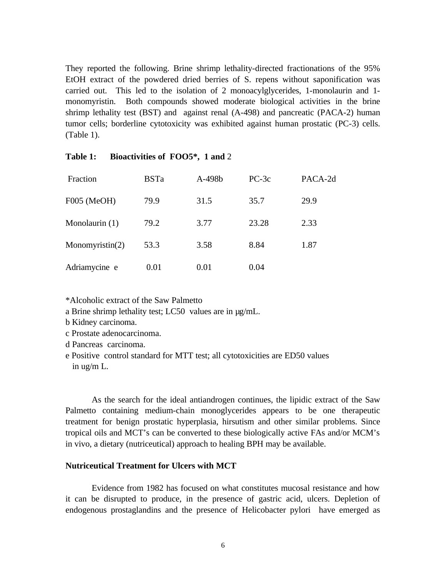They reported the following. Brine shrimp lethality-directed fractionations of the 95% EtOH extract of the powdered dried berries of S. repens without saponification was carried out. This led to the isolation of 2 monoacylglycerides, 1-monolaurin and 1 monomyristin. Both compounds showed moderate biological activities in the brine shrimp lethality test (BST) and against renal (A-498) and pancreatic (PACA-2) human tumor cells; borderline cytotoxicity was exhibited against human prostatic (PC-3) cells. (Table 1).

| Fraction           | <b>BSTa</b> | A-498b | $PC-3c$ | PACA-2d |
|--------------------|-------------|--------|---------|---------|
| F005 (MeOH)        | 79.9        | 31.5   | 35.7    | 29.9    |
| Monolaurin (1)     | 79.2        | 3.77   | 23.28   | 2.33    |
| Monomyristin $(2)$ | 53.3        | 3.58   | 8.84    | 1.87    |
| Adriamycine e      | 0.01        | 0.01   | 0.04    |         |

### **Table 1: Bioactivities of FOO5\*, 1 and** 2

\*Alcoholic extract of the Saw Palmetto

a Brine shrimp lethality test; LC50 values are in µg/mL.

- b Kidney carcinoma.
- c Prostate adenocarcinoma.

d Pancreas carcinoma.

e Positive control standard for MTT test; all cytotoxicities are ED50 values in ug/m L.

As the search for the ideal antiandrogen continues, the lipidic extract of the Saw Palmetto containing medium-chain monoglycerides appears to be one therapeutic treatment for benign prostatic hyperplasia, hirsutism and other similar problems. Since tropical oils and MCT's can be converted to these biologically active FAs and/or MCM's in vivo, a dietary (nutriceutical) approach to healing BPH may be available.

#### **Nutriceutical Treatment for Ulcers with MCT**

Evidence from 1982 has focused on what constitutes mucosal resistance and how it can be disrupted to produce, in the presence of gastric acid, ulcers. Depletion of endogenous prostaglandins and the presence of Helicobacter pylori have emerged as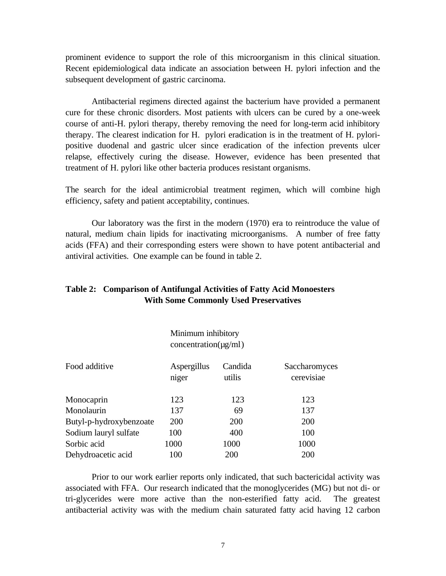prominent evidence to support the role of this microorganism in this clinical situation. Recent epidemiological data indicate an association between H. pylori infection and the subsequent development of gastric carcinoma.

Antibacterial regimens directed against the bacterium have provided a permanent cure for these chronic disorders. Most patients with ulcers can be cured by a one-week course of anti-H. pylori therapy, thereby removing the need for long-term acid inhibitory therapy. The clearest indication for H. pylori eradication is in the treatment of H. pyloripositive duodenal and gastric ulcer since eradication of the infection prevents ulcer relapse, effectively curing the disease. However, evidence has been presented that treatment of H. pylori like other bacteria produces resistant organisms.

The search for the ideal antimicrobial treatment regimen, which will combine high efficiency, safety and patient acceptability, continues.

Our laboratory was the first in the modern (1970) era to reintroduce the value of natural, medium chain lipids for inactivating microorganisms. A number of free fatty acids (FFA) and their corresponding esters were shown to have potent antibacterial and antiviral activities. One example can be found in table 2.

## **Table 2: Comparison of Antifungal Activities of Fatty Acid Monoesters With Some Commonly Used Preservatives**

Minimum inhibitory  $concentration(\mu g/ml)$ 

| Food additive           | Aspergillus<br>niger | Candida<br>utilis | Saccharomyces<br>cerevisiae |
|-------------------------|----------------------|-------------------|-----------------------------|
| Monocaprin              | 123                  | 123               | 123                         |
| Monolaurin              | 137                  | 69                | 137                         |
| Butyl-p-hydroxybenzoate | 200                  | <b>200</b>        | 200                         |
| Sodium lauryl sulfate   | 100                  | 400               | 100                         |
| Sorbic acid             | 1000                 | 1000              | 1000                        |
| Dehydroacetic acid      | 100                  | 200               | 200                         |

Prior to our work earlier reports only indicated, that such bactericidal activity was associated with FFA. Our research indicated that the monoglycerides (MG) but not di- or tri-glycerides were more active than the non-esterified fatty acid. The greatest antibacterial activity was with the medium chain saturated fatty acid having 12 carbon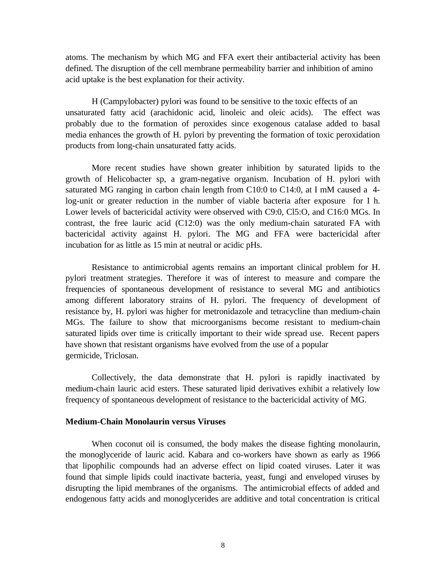atoms. The mechanism by which MG and FFA exert their antibacterial activity has been defined. The disruption of the cell membrane permeability barrier and inhibition of amino acid uptake is the best explanation for their activity.

H (Campylobacter) pylori was found to be sensitive to the toxic effects of an unsaturated fatty acid (arachidonic acid, linoleic and oleic acids). The effect was probably due to the formation of peroxides since exogenous catalase added to basal media enhances the growth of H. pylori by preventing the formation of toxic peroxidation products from long-chain unsaturated fatty acids.

More recent studies have shown greater inhibition by saturated lipids to the growth of Helicobacter sp, a gram-negative organism. Incubation of H. pylori with saturated MG ranging in carbon chain length from C10:0 to C14:0, at I mM caused a 4 log-unit or greater reduction in the number of viable bacteria after exposure for I h. Lower levels of bactericidal activity were observed with C9:0, Cl5:O, and C16:0 MGs. In contrast, the free lauric acid (C12:0) was the only medium-chain saturated FA with bactericidal activity against H. pylori. The MG and FFA were bactericidal after incubation for as little as 15 min at neutral or acidic pHs.

Resistance to antimicrobial agents remains an important clinical problem for H. pylori treatment strategies. Therefore it was of interest to measure and compare the frequencies of spontaneous development of resistance to several MG and antibiotics among different laboratory strains of H. pylori. The frequency of development of resistance by, H. pylori was higher for metronidazole and tetracycline than medium-chain MGs. The failure to show that microorganisms become resistant to medium-chain saturated lipids over time is critically important to their wide spread use. Recent papers have shown that resistant organisms have evolved from the use of a popular germicide, Triclosan.

Collectively, the data demonstrate that H. pylori is rapidly inactivated by medium-chain lauric acid esters. These saturated lipid derivatives exhibit a relatively low frequency of spontaneous development of resistance to the bactericidal activity of MG.

#### **Medium-Chain Monolaurin versus Viruses**

When coconut oil is consumed, the body makes the disease fighting monolaurin, the monoglyceride of lauric acid. Kabara and co-workers have shown as early as 1966 that lipophilic compounds had an adverse effect on lipid coated viruses. Later it was found that simple lipids could inactivate bacteria, yeast, fungi and enveloped viruses by disrupting the lipid membranes of the organisms. The antimicrobial effects of added and endogenous fatty acids and monoglycerides are additive and total concentration is critical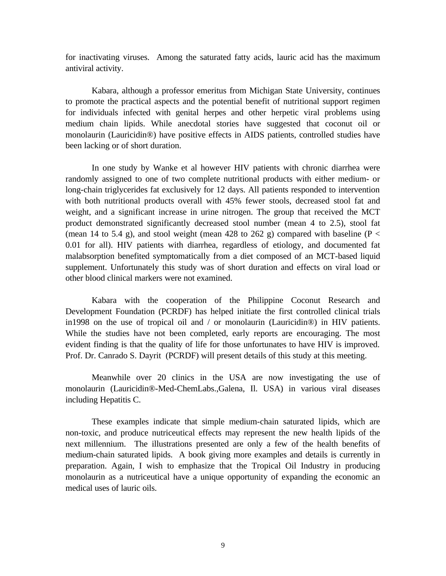for inactivating viruses. Among the saturated fatty acids, lauric acid has the maximum antiviral activity.

Kabara, although a professor emeritus from Michigan State University, continues to promote the practical aspects and the potential benefit of nutritional support regimen for individuals infected with genital herpes and other herpetic viral problems using medium chain lipids. While anecdotal stories have suggested that coconut oil or monolaurin (Lauricidin®) have positive effects in AIDS patients, controlled studies have been lacking or of short duration.

In one study by Wanke et al however HIV patients with chronic diarrhea were randomly assigned to one of two complete nutritional products with either medium- or long-chain triglycerides fat exclusively for 12 days. All patients responded to intervention with both nutritional products overall with 45% fewer stools, decreased stool fat and weight, and a significant increase in urine nitrogen. The group that received the MCT product demonstrated significantly decreased stool number (mean 4 to 2.5), stool fat (mean 14 to 5.4 g), and stool weight (mean 428 to 262 g) compared with baseline ( $P <$ 0.01 for all). HIV patients with diarrhea, regardless of etiology, and documented fat malabsorption benefited symptomatically from a diet composed of an MCT-based liquid supplement. Unfortunately this study was of short duration and effects on viral load or other blood clinical markers were not examined.

Kabara with the cooperation of the Philippine Coconut Research and Development Foundation (PCRDF) has helped initiate the first controlled clinical trials in1998 on the use of tropical oil and / or monolaurin (Lauricidin®) in HIV patients. While the studies have not been completed, early reports are encouraging. The most evident finding is that the quality of life for those unfortunates to have HIV is improved. Prof. Dr. Canrado S. Dayrit (PCRDF) will present details of this study at this meeting.

Meanwhile over 20 clinics in the USA are now investigating the use of monolaurin (Lauricidin®-Med-ChemLabs.,Galena, Il. USA) in various viral diseases including Hepatitis C.

These examples indicate that simple medium-chain saturated lipids, which are non-toxic, and produce nutriceutical effects may represent the new health lipids of the next millennium. The illustrations presented are only a few of the health benefits of medium-chain saturated lipids. A book giving more examples and details is currently in preparation. Again, I wish to emphasize that the Tropical Oil Industry in producing monolaurin as a nutriceutical have a unique opportunity of expanding the economic an medical uses of lauric oils.